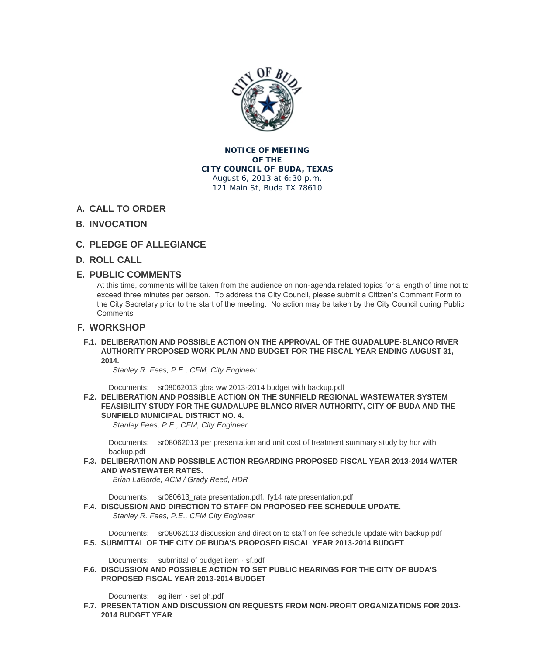

#### **NOTICE OF MEETING OF THE CITY COUNCIL OF BUDA, TEXAS** August 6, 2013 at 6:30 p.m. 121 Main St, Buda TX 78610

# **CALL TO ORDER A.**

## **INVOCATION B.**

# **PLEDGE OF ALLEGIANCE C.**

## **ROLL CALL D.**

## **PUBLIC COMMENTS E.**

At this time, comments will be taken from the audience on non-agenda related topics for a length of time not to exceed three minutes per person. To address the City Council, please submit a Citizen's Comment Form to the City Secretary prior to the start of the meeting. No action may be taken by the City Council during Public **Comments** 

## **WORKSHOP F.**

**DELIBERATION AND POSSIBLE ACTION ON THE APPROVAL OF THE GUADALUPE-BLANCO RIVER F.1. AUTHORITY PROPOSED WORK PLAN AND BUDGET FOR THE FISCAL YEAR ENDING AUGUST 31, 2014.**

*Stanley R. Fees, P.E., CFM, City Engineer* 

Documents: sr08062013 gbra ww 2013-2014 budget with backup.pdf

**DELIBERATION AND POSSIBLE ACTION ON THE SUNFIELD REGIONAL WASTEWATER SYSTEM F.2. FEASIBILITY STUDY FOR THE GUADALUPE BLANCO RIVER AUTHORITY, CITY OF BUDA AND THE SUNFIELD MUNICIPAL DISTRICT NO. 4.**

*Stanley Fees[, P.E., CFM, City Engineer](http://www.ci.buda.tx.us/AgendaCenter/ViewFile/Item/397?fileID=912)*

Documents: sr08062013 per presentation and unit cost of treatment summary study by hdr with backup.pdf

**DELIBERATION AND POSSIBLE ACTION REGARDING PROPOSED FISCAL YEAR 2013-2014 WATER F.3. AND WASTEWATER RATES.**

*Brian LaBord[e, ACM / Grady Reed, HDR](http://www.ci.buda.tx.us/AgendaCenter/ViewFile/Item/380?fileID=930)*

Documents: sr080613\_rate presentation.pdf, fy14 rate presentation.pdf

**DISCUSSION AND DIRECTION TO STAFF ON PROPOSED FEE SCHEDULE UPDATE. F.4.** *Stanley R. Fees, P.E., CFM City Engineer* 

Documents: [sr08062013 discussion and dire](http://www.ci.buda.tx.us/AgendaCenter/ViewFile/Item/396?fileID=910)[ction to staff on fee schedu](http://www.ci.buda.tx.us/AgendaCenter/ViewFile/Item/396?fileID=909)le update with backup.pdf **SUBMITTAL OF THE CITY OF BUDA'S PROPOSED FISCAL YEAR 2013-2014 BUDGET F.5.**

Documents: submittal of budget item - sf.pdf

**DISCUSSION A[ND POSSIBLE ACTION TO SET PUBLIC HEARINGS FOR THE CITY OF BUDA'S](http://www.ci.buda.tx.us/AgendaCenter/ViewFile/Item/398?fileID=946)  F.6. PROPOSED FISCAL YEAR 2013-2014 BUDGET**

Documents: [ag item - set ph.pdf](http://www.ci.buda.tx.us/AgendaCenter/ViewFile/Item/408?fileID=929)

**PRESENTATION AND DISCUSSION ON REQUESTS FROM NON-PROFIT ORGANIZATIONS FOR 2013- F.7. 2014 BUDGET YEAR**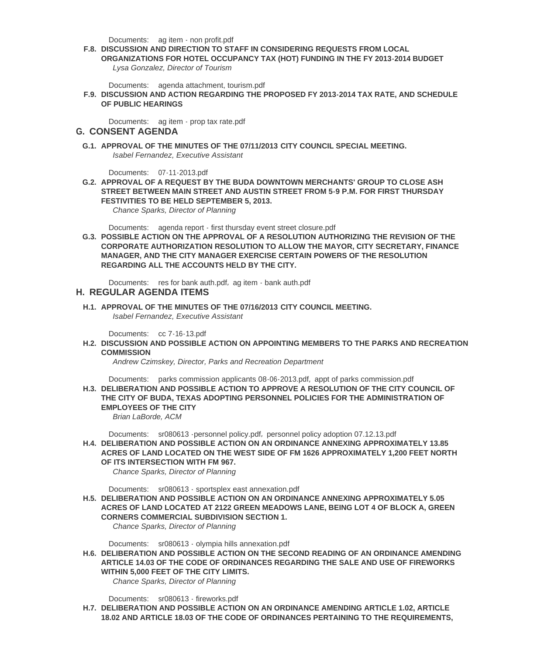- Documents: ag item non profit.pdf
- **DISCUSSION AND DIRECTION TO STAFF IN CONSIDERING REQUESTS FROM LOCAL F.8.**

**ORGANIZATIONS FOR HOTEL OCCUPANCY TAX (HOT) FUNDING IN THE FY 2013-2014 BUDGET** *Lysa Gonzalez, Director of Tourism*

Documents: [agenda attachment, to](http://www.ci.buda.tx.us/AgendaCenter/ViewFile/Item/402?fileID=931)urism.pdf

**DISCUSSION AND ACTION REGARDING THE PROPOSED FY 2013-2014 TAX RATE, AND SCHEDULE F.9. OF PUBLIC HEARINGS**

Documents: [ag item - prop tax rate.pdf](http://www.ci.buda.tx.us/AgendaCenter/ViewFile/Item/419?fileID=948)

#### **CONSENT AGENDA G.**

**APPROVAL OF THE MINUTES OF THE 07/11/2013 CITY COUNCIL SPECIAL MEETING. G.1.** *Isabel Ferna[ndez, Executive Assistant](http://www.ci.buda.tx.us/AgendaCenter/ViewFile/Item/411?fileID=932)*

07-11-2013.pdf Documents:

**APPROVAL OF A REQUEST BY THE BUDA DOWNTOWN MERCHANTS' GROUP TO CLOSE ASH G.2. STREET BETWEEN MAIN STREET AND AUSTIN STREET FROM 5-9 P.M. FOR FIRST THURSDAY FESTIVITIES TO BE HELD SEPTEMBER 5, 2013.**

*Chance Spar[ks, Director of P](http://www.ci.buda.tx.us/AgendaCenter/ViewFile/Item/399?fileID=943)lanning*

Documents: agenda report - first thursday event street closure.pdf

**POSSIBLE ACTION ON THE APPROVAL OF A RESOLUTION AUTHORIZING THE REVISION OF THE G.3. CORPORATE AUTHORIZATION RESOLUTION TO ALLOW THE MAYOR, CITY SECRETARY, FINANCE MANAGER, AND THE CITY MANAGER EXERCISE CERTAIN POWERS OF THE RESOLUTION REGARDING AL[L THE ACCOUNTS HELD BY THE CITY.](http://www.ci.buda.tx.us/AgendaCenter/ViewFile/Item/409?fileID=926)**

Documents: res for bank auth.pdf, ag item - bank auth.pdf

- **REGULAR AGENDA ITEMS H.**
- **APPROVAL OF THE MINUTES OF THE 07/16/2013 CITY COUNCIL MEETING. H.1.** *Isabel Ferna[ndez, Executive Assis](http://www.ci.buda.tx.us/AgendaCenter/ViewFile/Item/403?fileID=934)t[ant](http://www.ci.buda.tx.us/AgendaCenter/ViewFile/Item/403?fileID=935)*

Documents: cc 7-16-13.pdf

**DISCUSSION AND POSSIBLE ACTION ON APPOINTING MEMBERS TO THE PARKS AND RECREATION H.2. COMMISSION**

*Andrew Czimskey, Director, Parks and Recreation Department*

Documents: [parks commiss](http://www.ci.buda.tx.us/AgendaCenter/ViewFile/Item/400?fileID=939)ion applicants 08-06-2013.pdf, appt of parks commission.pdf **DELIBERATION AND POSSIBLE ACTION TO APPROVE A RESOLUTION OF THE CITY COUNCIL OF H.3. THE CITY OF BUDA, TEXAS ADOPTING PERSONNEL POLICIES FOR THE ADMINISTRATION OF EMPLOYEES OF THE CITY** *Brian LaBord[e, ACM](http://www.ci.buda.tx.us/AgendaCenter/ViewFile/Item/412?fileID=937)*

Documents: sr080613 -personnel policy.pdf, personnel policy adoption 07.12.13.pdf

**DELIBERATION AND POSSIBLE ACTION ON AN ORDINANCE ANNEXING APPROXIMATELY 13.85 H.4. ACRES OF LAND LOCATED ON THE WEST SIDE OF FM 1626 APPROXIMATELY 1,200 FEET NORTH OF ITS INTERSECTION WITH FM 967.**

*Chance Spar[ks, Director of Planning](http://www.ci.buda.tx.us/AgendaCenter/ViewFile/Item/381?fileID=917)*

Documents: sr080613 - sportsplex east annexation.pdf

**DELIBERATION AND POSSIBLE ACTION ON AN ORDINANCE ANNEXING APPROXIMATELY 5.05 H.5. ACRES OF LAND LOCATED AT 2122 GREEN MEADOWS LANE, BEING LOT 4 OF BLOCK A, GREEN CORNERS COMMERCIAL SUBDIVISION SECTION 1.**

*Chance Spar[ks, Director of Planning](http://www.ci.buda.tx.us/AgendaCenter/ViewFile/Item/406?fileID=944)*

Documents: sr080613 - olympia hills annexation.pdf

**DELIBERATION AND POSSIBLE ACTION ON THE SECOND READING OF AN ORDINANCE AMENDING H.6. ARTICLE 14.03 OF THE CODE OF ORDINANCES REGARDING THE SALE AND USE OF FIREWORKS WITHIN 5,000 FEET OF THE CITY LIMITS.**

*Chance Spar[ks, Director of Planning](http://www.ci.buda.tx.us/AgendaCenter/ViewFile/Item/407?fileID=940)*

Documents: sr080613 - fireworks.pdf

**DELIBERATION AND POSSIBLE ACTION ON AN ORDINANCE AMENDING ARTICLE 1.02, ARTICLE H.7. 18.02 AND ARTICLE 18.03 OF THE CODE OF ORDINANCES PERTAINING TO THE REQUIREMENTS,**